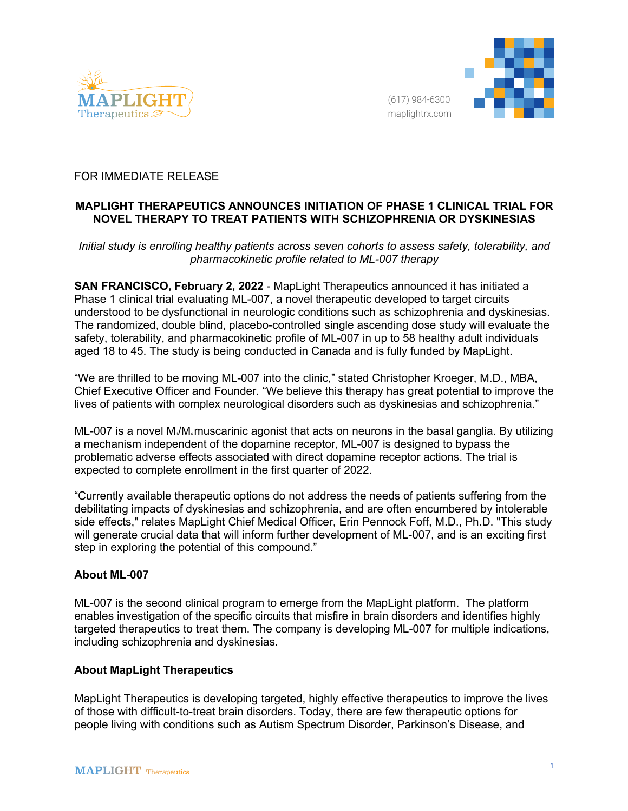



## FOR IMMEDIATE RELEASE

# **MAPLIGHT THERAPEUTICS ANNOUNCES INITIATION OF PHASE 1 CLINICAL TRIAL FOR NOVEL THERAPY TO TREAT PATIENTS WITH SCHIZOPHRENIA OR DYSKINESIAS**

### *Initial study is enrolling healthy patients across seven cohorts to assess safety, tolerability, and pharmacokinetic profile related to ML-007 therapy*

**SAN FRANCISCO, February 2, 2022** - MapLight Therapeutics announced it has initiated a Phase 1 clinical trial evaluating ML-007, a novel therapeutic developed to target circuits understood to be dysfunctional in neurologic conditions such as schizophrenia and dyskinesias. The randomized, double blind, placebo-controlled single ascending dose study will evaluate the safety, tolerability, and pharmacokinetic profile of ML-007 in up to 58 healthy adult individuals aged 18 to 45. The study is being conducted in Canada and is fully funded by MapLight.

"We are thrilled to be moving ML-007 into the clinic," stated Christopher Kroeger, M.D., MBA, Chief Executive Officer and Founder. "We believe this therapy has great potential to improve the lives of patients with complex neurological disorders such as dyskinesias and schizophrenia."

 $ML-007$  is a novel  $M_1/M_4$  muscarinic agonist that acts on neurons in the basal ganglia. By utilizing a mechanism independent of the dopamine receptor, ML-007 is designed to bypass the problematic adverse effects associated with direct dopamine receptor actions. The trial is expected to complete enrollment in the first quarter of 2022.

"Currently available therapeutic options do not address the needs of patients suffering from the debilitating impacts of dyskinesias and schizophrenia, and are often encumbered by intolerable side effects," relates MapLight Chief Medical Officer, Erin Pennock Foff, M.D., Ph.D. "This study will generate crucial data that will inform further development of ML-007, and is an exciting first step in exploring the potential of this compound."

## **About ML-007**

ML-007 is the second clinical program to emerge from the MapLight platform. The platform enables investigation of the specific circuits that misfire in brain disorders and identifies highly targeted therapeutics to treat them. The company is developing ML-007 for multiple indications, including schizophrenia and dyskinesias.

#### **About MapLight Therapeutics**

MapLight Therapeutics is developing targeted, highly effective therapeutics to improve the lives of those with difficult-to-treat brain disorders. Today, there are few therapeutic options for people living with conditions such as Autism Spectrum Disorder, Parkinson's Disease, and